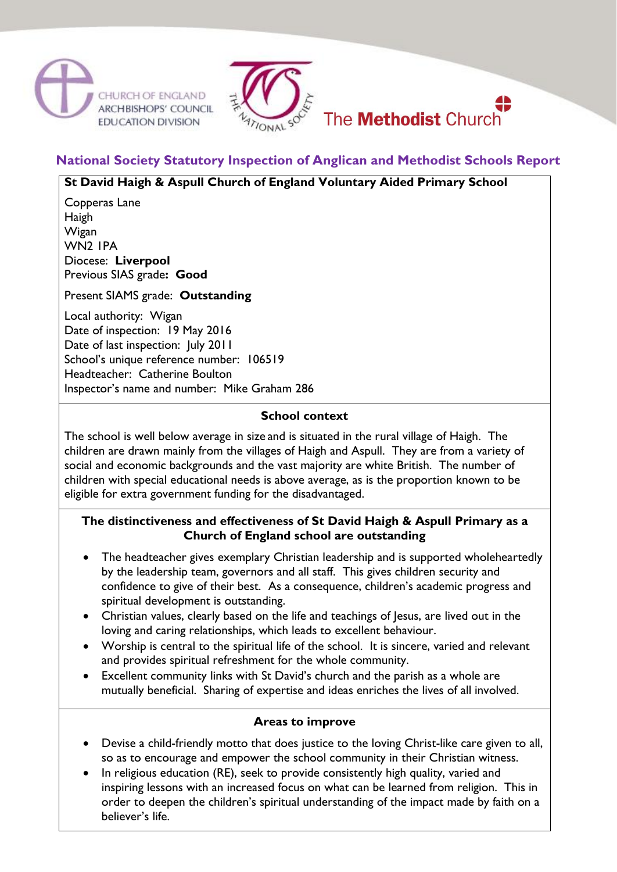





# **National Society Statutory Inspection of Anglican and Methodist Schools Report**

### **St David Haigh & Aspull Church of England Voluntary Aided Primary School**

Copperas Lane Haigh Wigan WN2 1PA Diocese: **Liverpool** Previous SIAS grade**: Good**

Present SIAMS grade: **Outstanding**

Local authority: Wigan Date of inspection: 19 May 2016 Date of last inspection: July 2011 School's unique reference number: 106519 Headteacher: Catherine Boulton Inspector's name and number: Mike Graham 286

## **School context**

The school is well below average in size and is situated in the rural village of Haigh. The children are drawn mainly from the villages of Haigh and Aspull. They are from a variety of social and economic backgrounds and the vast majority are white British. The number of children with special educational needs is above average, as is the proportion known to be eligible for extra government funding for the disadvantaged.

#### **The distinctiveness and effectiveness of St David Haigh & Aspull Primary as a Church of England school are outstanding**

- The headteacher gives exemplary Christian leadership and is supported wholeheartedly by the leadership team, governors and all staff. This gives children security and confidence to give of their best. As a consequence, children's academic progress and spiritual development is outstanding.
- Christian values, clearly based on the life and teachings of Jesus, are lived out in the loving and caring relationships, which leads to excellent behaviour.
- Worship is central to the spiritual life of the school. It is sincere, varied and relevant and provides spiritual refreshment for the whole community.
- Excellent community links with St David's church and the parish as a whole are mutually beneficial. Sharing of expertise and ideas enriches the lives of all involved.

# **Areas to improve**

- Devise a child-friendly motto that does justice to the loving Christ-like care given to all, so as to encourage and empower the school community in their Christian witness.
- In religious education (RE), seek to provide consistently high quality, varied and inspiring lessons with an increased focus on what can be learned from religion. This in order to deepen the children's spiritual understanding of the impact made by faith on a believer's life.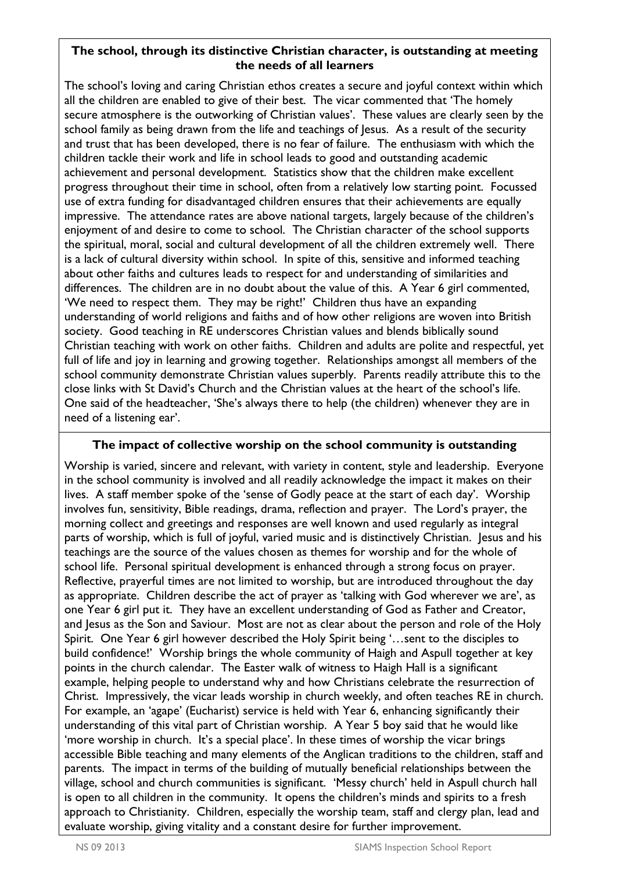#### **The school, through its distinctive Christian character, is outstanding at meeting the needs of all learners**

The school's loving and caring Christian ethos creates a secure and joyful context within which all the children are enabled to give of their best. The vicar commented that 'The homely secure atmosphere is the outworking of Christian values'. These values are clearly seen by the school family as being drawn from the life and teachings of Jesus. As a result of the security and trust that has been developed, there is no fear of failure. The enthusiasm with which the children tackle their work and life in school leads to good and outstanding academic achievement and personal development. Statistics show that the children make excellent progress throughout their time in school, often from a relatively low starting point. Focussed use of extra funding for disadvantaged children ensures that their achievements are equally impressive. The attendance rates are above national targets, largely because of the children's enjoyment of and desire to come to school. The Christian character of the school supports the spiritual, moral, social and cultural development of all the children extremely well. There is a lack of cultural diversity within school. In spite of this, sensitive and informed teaching about other faiths and cultures leads to respect for and understanding of similarities and differences. The children are in no doubt about the value of this. A Year 6 girl commented, 'We need to respect them. They may be right!' Children thus have an expanding understanding of world religions and faiths and of how other religions are woven into British society. Good teaching in RE underscores Christian values and blends biblically sound Christian teaching with work on other faiths. Children and adults are polite and respectful, yet full of life and joy in learning and growing together. Relationships amongst all members of the school community demonstrate Christian values superbly. Parents readily attribute this to the close links with St David's Church and the Christian values at the heart of the school's life. One said of the headteacher, 'She's always there to help (the children) whenever they are in need of a listening ear'.

#### **The impact of collective worship on the school community is outstanding**

Worship is varied, sincere and relevant, with variety in content, style and leadership. Everyone in the school community is involved and all readily acknowledge the impact it makes on their lives. A staff member spoke of the 'sense of Godly peace at the start of each day'. Worship involves fun, sensitivity, Bible readings, drama, reflection and prayer. The Lord's prayer, the morning collect and greetings and responses are well known and used regularly as integral parts of worship, which is full of joyful, varied music and is distinctively Christian. Jesus and his teachings are the source of the values chosen as themes for worship and for the whole of school life. Personal spiritual development is enhanced through a strong focus on prayer. Reflective, prayerful times are not limited to worship, but are introduced throughout the day as appropriate. Children describe the act of prayer as 'talking with God wherever we are', as one Year 6 girl put it. They have an excellent understanding of God as Father and Creator, and Jesus as the Son and Saviour. Most are not as clear about the person and role of the Holy Spirit. One Year 6 girl however described the Holy Spirit being '…sent to the disciples to build confidence!' Worship brings the whole community of Haigh and Aspull together at key points in the church calendar. The Easter walk of witness to Haigh Hall is a significant example, helping people to understand why and how Christians celebrate the resurrection of Christ. Impressively, the vicar leads worship in church weekly, and often teaches RE in church. For example, an 'agape' (Eucharist) service is held with Year 6, enhancing significantly their understanding of this vital part of Christian worship. A Year 5 boy said that he would like 'more worship in church. It's a special place'. In these times of worship the vicar brings accessible Bible teaching and many elements of the Anglican traditions to the children, staff and parents. The impact in terms of the building of mutually beneficial relationships between the village, school and church communities is significant. 'Messy church' held in Aspull church hall is open to all children in the community. It opens the children's minds and spirits to a fresh approach to Christianity. Children, especially the worship team, staff and clergy plan, lead and evaluate worship, giving vitality and a constant desire for further improvement.